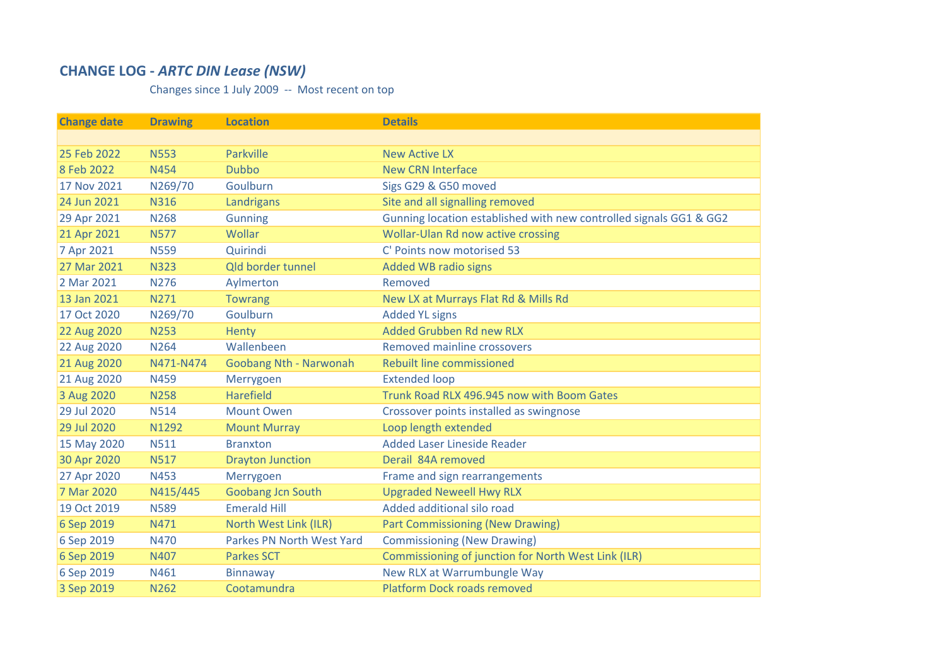## **CHANGE LOG ‐** *ARTC DIN Lease (NSW)*

Changes since 1 July 2009 ‐‐ Most recent on top

| <b>Change date</b> | <b>Drawing</b> | <b>Location</b>           | <b>Details</b>                                                     |
|--------------------|----------------|---------------------------|--------------------------------------------------------------------|
|                    |                |                           |                                                                    |
| 25 Feb 2022        | <b>N553</b>    | Parkville                 | <b>New Active LX</b>                                               |
| 8 Feb 2022         | <b>N454</b>    | <b>Dubbo</b>              | <b>New CRN Interface</b>                                           |
| 17 Nov 2021        | N269/70        | Goulburn                  | Sigs G29 & G50 moved                                               |
| 24 Jun 2021        | <b>N316</b>    | Landrigans                | Site and all signalling removed                                    |
| 29 Apr 2021        | <b>N268</b>    | <b>Gunning</b>            | Gunning location established with new controlled signals GG1 & GG2 |
| 21 Apr 2021        | <b>N577</b>    | Wollar                    | Wollar-Ulan Rd now active crossing                                 |
| 7 Apr 2021         | <b>N559</b>    | Quirindi                  | C' Points now motorised 53                                         |
| 27 Mar 2021        | <b>N323</b>    | Qld border tunnel         | <b>Added WB radio signs</b>                                        |
| 2 Mar 2021         | <b>N276</b>    | Aylmerton                 | Removed                                                            |
| 13 Jan 2021        | N271           | <b>Towrang</b>            | New LX at Murrays Flat Rd & Mills Rd                               |
| 17 Oct 2020        | N269/70        | Goulburn                  | <b>Added YL signs</b>                                              |
| 22 Aug 2020        | <b>N253</b>    | Henty                     | Added Grubben Rd new RLX                                           |
| 22 Aug 2020        | <b>N264</b>    | Wallenbeen                | Removed mainline crossovers                                        |
| 21 Aug 2020        | N471-N474      | Goobang Nth - Narwonah    | Rebuilt line commissioned                                          |
| 21 Aug 2020        | <b>N459</b>    | Merrygoen                 | <b>Extended loop</b>                                               |
| 3 Aug 2020         | <b>N258</b>    | <b>Harefield</b>          | Trunk Road RLX 496.945 now with Boom Gates                         |
| 29 Jul 2020        | <b>N514</b>    | <b>Mount Owen</b>         | Crossover points installed as swingnose                            |
| 29 Jul 2020        | N1292          | <b>Mount Murray</b>       | Loop length extended                                               |
| 15 May 2020        | <b>N511</b>    | <b>Branxton</b>           | <b>Added Laser Lineside Reader</b>                                 |
| 30 Apr 2020        | <b>N517</b>    | <b>Drayton Junction</b>   | Derail 84A removed                                                 |
| 27 Apr 2020        | N453           | Merrygoen                 | Frame and sign rearrangements                                      |
| 7 Mar 2020         | N415/445       | <b>Goobang Jcn South</b>  | <b>Upgraded Neweell Hwy RLX</b>                                    |
| 19 Oct 2019        | <b>N589</b>    | <b>Emerald Hill</b>       | Added additional silo road                                         |
| 6 Sep 2019         | N471           | North West Link (ILR)     | <b>Part Commissioning (New Drawing)</b>                            |
| 6 Sep 2019         | <b>N470</b>    | Parkes PN North West Yard | <b>Commissioning (New Drawing)</b>                                 |
| 6 Sep 2019         | N407           | <b>Parkes SCT</b>         | Commissioning of junction for North West Link (ILR)                |
| 6 Sep 2019         | N461           | <b>Binnaway</b>           | New RLX at Warrumbungle Way                                        |
| 3 Sep 2019         | <b>N262</b>    | Cootamundra               | <b>Platform Dock roads removed</b>                                 |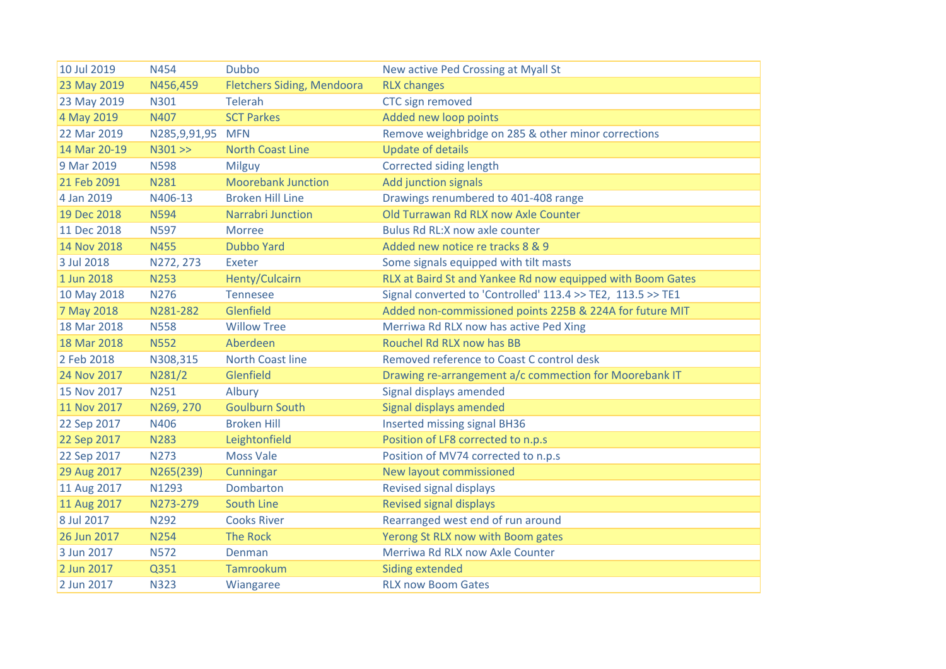| 10 Jul 2019  | <b>N454</b>      | <b>Dubbo</b>                      | New active Ped Crossing at Myall St                         |
|--------------|------------------|-----------------------------------|-------------------------------------------------------------|
| 23 May 2019  | N456,459         | <b>Fletchers Siding, Mendoora</b> | <b>RLX changes</b>                                          |
| 23 May 2019  | N301             | <b>Telerah</b>                    | CTC sign removed                                            |
| 4 May 2019   | N407             | <b>SCT Parkes</b>                 | Added new loop points                                       |
| 22 Mar 2019  | N285,9,91,95 MFN |                                   | Remove weighbridge on 285 & other minor corrections         |
| 14 Mar 20-19 | N301 > >         | <b>North Coast Line</b>           | <b>Update of details</b>                                    |
| 9 Mar 2019   | <b>N598</b>      | Milguy                            | Corrected siding length                                     |
| 21 Feb 2091  | <b>N281</b>      | <b>Moorebank Junction</b>         | Add junction signals                                        |
| 4 Jan 2019   | N406-13          | <b>Broken Hill Line</b>           | Drawings renumbered to 401-408 range                        |
| 19 Dec 2018  | <b>N594</b>      | Narrabri Junction                 | Old Turrawan Rd RLX now Axle Counter                        |
| 11 Dec 2018  | <b>N597</b>      | <b>Morree</b>                     | Bulus Rd RL: X now axle counter                             |
| 14 Nov 2018  | <b>N455</b>      | <b>Dubbo Yard</b>                 | Added new notice re tracks 8 & 9                            |
| 3 Jul 2018   | N272, 273        | Exeter                            | Some signals equipped with tilt masts                       |
| 1 Jun 2018   | <b>N253</b>      | <b>Henty/Culcairn</b>             | RLX at Baird St and Yankee Rd now equipped with Boom Gates  |
| 10 May 2018  | <b>N276</b>      | <b>Tennesee</b>                   | Signal converted to 'Controlled' 113.4 >> TE2, 113.5 >> TE1 |
| 7 May 2018   | N281-282         | Glenfield                         | Added non-commissioned points 225B & 224A for future MIT    |
| 18 Mar 2018  | <b>N558</b>      | <b>Willow Tree</b>                | Merriwa Rd RLX now has active Ped Xing                      |
| 18 Mar 2018  | <b>N552</b>      | Aberdeen                          | Rouchel Rd RLX now has BB                                   |
| 2 Feb 2018   | N308,315         | <b>North Coast line</b>           | Removed reference to Coast C control desk                   |
| 24 Nov 2017  | N281/2           | Glenfield                         | Drawing re-arrangement a/c commection for Moorebank IT      |
| 15 Nov 2017  | N251             | Albury                            | Signal displays amended                                     |
| 11 Nov 2017  | N269, 270        | <b>Goulburn South</b>             | Signal displays amended                                     |
| 22 Sep 2017  | N406             | <b>Broken Hill</b>                | <b>Inserted missing signal BH36</b>                         |
| 22 Sep 2017  | <b>N283</b>      | Leightonfield                     | Position of LF8 corrected to n.p.s                          |
| 22 Sep 2017  | <b>N273</b>      | <b>Moss Vale</b>                  | Position of MV74 corrected to n.p.s                         |
| 29 Aug 2017  | N265(239)        | Cunningar                         | New layout commissioned                                     |
| 11 Aug 2017  | N1293            | Dombarton                         | Revised signal displays                                     |
| 11 Aug 2017  | N273-279         | South Line                        | Revised signal displays                                     |
| 8 Jul 2017   | N292             | <b>Cooks River</b>                | Rearranged west end of run around                           |
| 26 Jun 2017  | <b>N254</b>      | <b>The Rock</b>                   | Yerong St RLX now with Boom gates                           |
| 3 Jun 2017   | <b>N572</b>      | Denman                            | Merriwa Rd RLX now Axle Counter                             |
| 2 Jun 2017   | Q351             | Tamrookum                         | <b>Siding extended</b>                                      |
| 2 Jun 2017   | <b>N323</b>      | Wiangaree                         | <b>RLX now Boom Gates</b>                                   |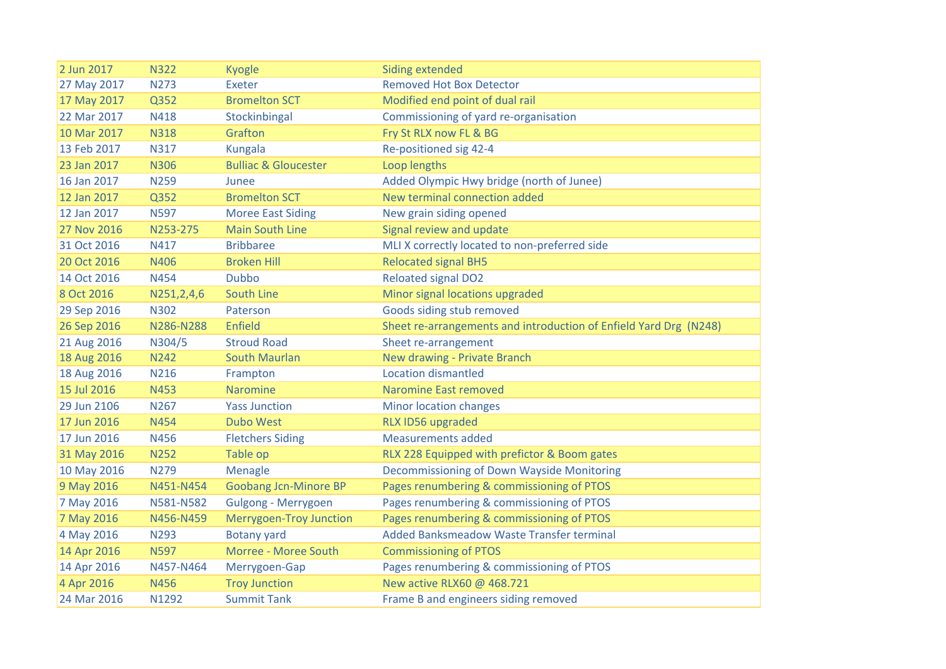| 2 Jun 2017  | <b>N322</b> | <b>Kyogle</b>                   | <b>Siding extended</b>                                            |
|-------------|-------------|---------------------------------|-------------------------------------------------------------------|
| 27 May 2017 | N273        | Exeter                          | <b>Removed Hot Box Detector</b>                                   |
| 17 May 2017 | Q352        | <b>Bromelton SCT</b>            | Modified end point of dual rail                                   |
| 22 Mar 2017 | N418        | Stockinbingal                   | Commissioning of yard re-organisation                             |
| 10 Mar 2017 | <b>N318</b> | Grafton                         | Fry St RLX now FL & BG                                            |
| 13 Feb 2017 | N317        | Kungala                         | Re-positioned sig 42-4                                            |
| 23 Jan 2017 | <b>N306</b> | <b>Bulliac &amp; Gloucester</b> | Loop lengths                                                      |
| 16 Jan 2017 | <b>N259</b> | Junee                           | Added Olympic Hwy bridge (north of Junee)                         |
| 12 Jan 2017 | Q352        | <b>Bromelton SCT</b>            | New terminal connection added                                     |
| 12 Jan 2017 | <b>N597</b> | <b>Moree East Siding</b>        | New grain siding opened                                           |
| 27 Nov 2016 | N253-275    | <b>Main South Line</b>          | Signal review and update                                          |
| 31 Oct 2016 | N417        | <b>Bribbaree</b>                | MLI X correctly located to non-preferred side                     |
| 20 Oct 2016 | N406        | <b>Broken Hill</b>              | <b>Relocated signal BH5</b>                                       |
| 14 Oct 2016 | N454        | <b>Dubbo</b>                    | <b>Reloated signal DO2</b>                                        |
| 8 Oct 2016  | N251,2,4,6  | South Line                      | Minor signal locations upgraded                                   |
| 29 Sep 2016 | <b>N302</b> | Paterson                        | Goods siding stub removed                                         |
| 26 Sep 2016 | N286-N288   | Enfield                         | Sheet re-arrangements and introduction of Enfield Yard Drg (N248) |
| 21 Aug 2016 | N304/5      | <b>Stroud Road</b>              | Sheet re-arrangement                                              |
| 18 Aug 2016 | N242        | <b>South Maurlan</b>            | New drawing - Private Branch                                      |
| 18 Aug 2016 | <b>N216</b> | Frampton                        | <b>Location dismantled</b>                                        |
| 15 Jul 2016 | N453        | <b>Naromine</b>                 | <b>Naromine East removed</b>                                      |
| 29 Jun 2106 | N267        | <b>Yass Junction</b>            | Minor location changes                                            |
| 17 Jun 2016 | <b>N454</b> | <b>Dubo West</b>                | RLX ID56 upgraded                                                 |
| 17 Jun 2016 | N456        | <b>Fletchers Siding</b>         | <b>Measurements added</b>                                         |
| 31 May 2016 | <b>N252</b> | Table op                        | RLX 228 Equipped with prefictor & Boom gates                      |
| 10 May 2016 | N279        | Menagle                         | Decommissioning of Down Wayside Monitoring                        |
| 9 May 2016  | N451-N454   | <b>Goobang Jcn-Minore BP</b>    | Pages renumbering & commissioning of PTOS                         |
| 7 May 2016  | N581-N582   | Gulgong - Merrygoen             | Pages renumbering & commissioning of PTOS                         |
| 7 May 2016  | N456-N459   | <b>Merrygoen-Troy Junction</b>  | Pages renumbering & commissioning of PTOS                         |
| 4 May 2016  | N293        | <b>Botany yard</b>              | Added Banksmeadow Waste Transfer terminal                         |
| 14 Apr 2016 | <b>N597</b> | Morree - Moree South            | <b>Commissioning of PTOS</b>                                      |
| 14 Apr 2016 | N457-N464   | Merrygoen-Gap                   | Pages renumbering & commissioning of PTOS                         |
| 4 Apr 2016  | N456        | <b>Troy Junction</b>            | New active RLX60 @ 468.721                                        |
| 24 Mar 2016 | N1292       | <b>Summit Tank</b>              | Frame B and engineers siding removed                              |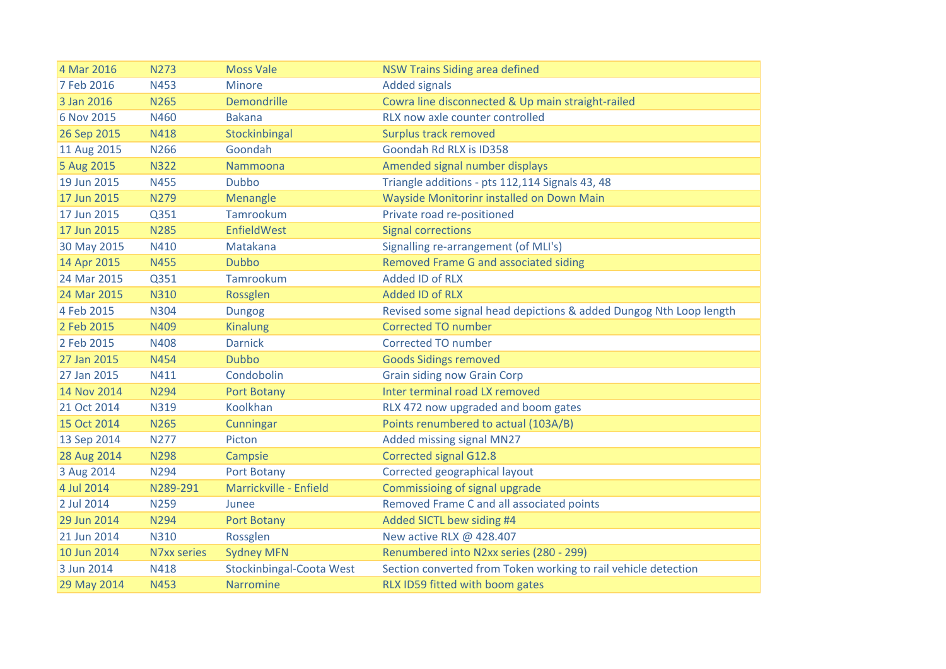| 4 Mar 2016  | <b>N273</b> | <b>Moss Vale</b>                | <b>NSW Trains Siding area defined</b>                              |
|-------------|-------------|---------------------------------|--------------------------------------------------------------------|
| 7 Feb 2016  | <b>N453</b> | <b>Minore</b>                   | <b>Added signals</b>                                               |
| 3 Jan 2016  | <b>N265</b> | <b>Demondrille</b>              | Cowra line disconnected & Up main straight-railed                  |
| 6 Nov 2015  | N460        | <b>Bakana</b>                   | RLX now axle counter controlled                                    |
| 26 Sep 2015 | N418        | Stockinbingal                   | Surplus track removed                                              |
| 11 Aug 2015 | N266        | Goondah                         | Goondah Rd RLX is ID358                                            |
| 5 Aug 2015  | <b>N322</b> | Nammoona                        | Amended signal number displays                                     |
| 19 Jun 2015 | <b>N455</b> | <b>Dubbo</b>                    | Triangle additions - pts 112,114 Signals 43, 48                    |
| 17 Jun 2015 | <b>N279</b> | Menangle                        | Wayside Monitorinr installed on Down Main                          |
| 17 Jun 2015 | Q351        | Tamrookum                       | Private road re-positioned                                         |
| 17 Jun 2015 | <b>N285</b> | EnfieldWest                     | <b>Signal corrections</b>                                          |
| 30 May 2015 | N410        | Matakana                        | Signalling re-arrangement (of MLI's)                               |
| 14 Apr 2015 | <b>N455</b> | <b>Dubbo</b>                    | Removed Frame G and associated siding                              |
| 24 Mar 2015 | Q351        | Tamrookum                       | <b>Added ID of RLX</b>                                             |
| 24 Mar 2015 | <b>N310</b> | Rossglen                        | <b>Added ID of RLX</b>                                             |
| 4 Feb 2015  | <b>N304</b> | <b>Dungog</b>                   | Revised some signal head depictions & added Dungog Nth Loop length |
| 2 Feb 2015  | N409        | <b>Kinalung</b>                 | <b>Corrected TO number</b>                                         |
| 2 Feb 2015  | <b>N408</b> | <b>Darnick</b>                  | <b>Corrected TO number</b>                                         |
| 27 Jan 2015 | <b>N454</b> | <b>Dubbo</b>                    | <b>Goods Sidings removed</b>                                       |
| 27 Jan 2015 | N411        | Condobolin                      | <b>Grain siding now Grain Corp</b>                                 |
| 14 Nov 2014 | N294        | Port Botany                     | Inter terminal road LX removed                                     |
| 21 Oct 2014 | <b>N319</b> | Koolkhan                        | RLX 472 now upgraded and boom gates                                |
| 15 Oct 2014 | <b>N265</b> | Cunningar                       | Points renumbered to actual (103A/B)                               |
| 13 Sep 2014 | <b>N277</b> | Picton                          | Added missing signal MN27                                          |
| 28 Aug 2014 | <b>N298</b> | Campsie                         | <b>Corrected signal G12.8</b>                                      |
| 3 Aug 2014  | <b>N294</b> | Port Botany                     | Corrected geographical layout                                      |
| 4 Jul 2014  | N289-291    | Marrickville - Enfield          | Commissioing of signal upgrade                                     |
| 2 Jul 2014  | <b>N259</b> | Junee                           | Removed Frame C and all associated points                          |
| 29 Jun 2014 | <b>N294</b> | Port Botany                     | Added SICTL bew siding #4                                          |
| 21 Jun 2014 | <b>N310</b> | Rossglen                        | New active RLX @ 428.407                                           |
| 10 Jun 2014 | N7xx series | <b>Sydney MFN</b>               | Renumbered into N2xx series (280 - 299)                            |
| 3 Jun 2014  | N418        | <b>Stockinbingal-Coota West</b> | Section converted from Token working to rail vehicle detection     |
| 29 May 2014 | N453        | Narromine                       | RLX ID59 fitted with boom gates                                    |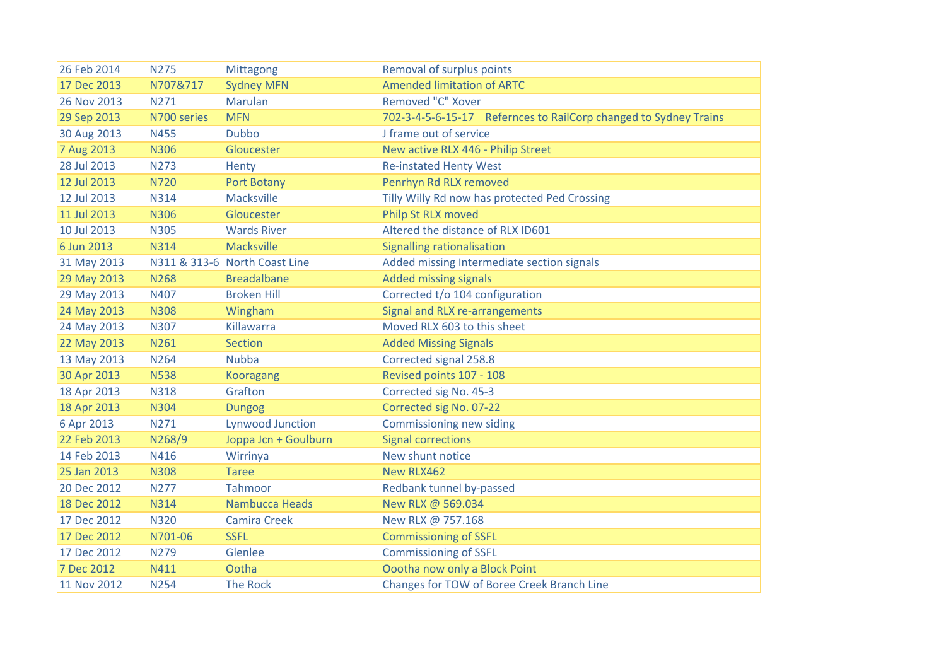| 26 Feb 2014 | <b>N275</b> | Mittagong                     | Removal of surplus points                                        |
|-------------|-------------|-------------------------------|------------------------------------------------------------------|
| 17 Dec 2013 | N707&717    | <b>Sydney MFN</b>             | <b>Amended limitation of ARTC</b>                                |
| 26 Nov 2013 | N271        | Marulan                       | Removed "C" Xover                                                |
| 29 Sep 2013 | N700 series | <b>MFN</b>                    | 702-3-4-5-6-15-17 Refernces to RailCorp changed to Sydney Trains |
| 30 Aug 2013 | <b>N455</b> | <b>Dubbo</b>                  | J frame out of service                                           |
| 7 Aug 2013  | <b>N306</b> | Gloucester                    | New active RLX 446 - Philip Street                               |
| 28 Jul 2013 | <b>N273</b> | Henty                         | <b>Re-instated Henty West</b>                                    |
| 12 Jul 2013 | <b>N720</b> | <b>Port Botany</b>            | Penrhyn Rd RLX removed                                           |
| 12 Jul 2013 | <b>N314</b> | Macksville                    | Tilly Willy Rd now has protected Ped Crossing                    |
| 11 Jul 2013 | <b>N306</b> | Gloucester                    | Philp St RLX moved                                               |
| 10 Jul 2013 | <b>N305</b> | <b>Wards River</b>            | Altered the distance of RLX ID601                                |
| 6 Jun 2013  | <b>N314</b> | <b>Macksville</b>             | <b>Signalling rationalisation</b>                                |
| 31 May 2013 |             | N311 & 313-6 North Coast Line | Added missing Intermediate section signals                       |
| 29 May 2013 | <b>N268</b> | <b>Breadalbane</b>            | <b>Added missing signals</b>                                     |
| 29 May 2013 | N407        | <b>Broken Hill</b>            | Corrected t/o 104 configuration                                  |
| 24 May 2013 | <b>N308</b> | Wingham                       | Signal and RLX re-arrangements                                   |
| 24 May 2013 | <b>N307</b> | Killawarra                    | Moved RLX 603 to this sheet                                      |
| 22 May 2013 | N261        | <b>Section</b>                | <b>Added Missing Signals</b>                                     |
| 13 May 2013 | N264        | <b>Nubba</b>                  | Corrected signal 258.8                                           |
| 30 Apr 2013 | <b>N538</b> | <b>Kooragang</b>              | Revised points 107 - 108                                         |
| 18 Apr 2013 | <b>N318</b> | Grafton                       | Corrected sig No. 45-3                                           |
| 18 Apr 2013 | <b>N304</b> | <b>Dungog</b>                 | Corrected sig No. 07-22                                          |
| 6 Apr 2013  | N271        | <b>Lynwood Junction</b>       | Commissioning new siding                                         |
| 22 Feb 2013 | N268/9      | Joppa Jcn + Goulburn          | <b>Signal corrections</b>                                        |
| 14 Feb 2013 | N416        | Wirrinya                      | New shunt notice                                                 |
| 25 Jan 2013 | <b>N308</b> | <b>Taree</b>                  | New RLX462                                                       |
| 20 Dec 2012 | <b>N277</b> | Tahmoor                       | Redbank tunnel by-passed                                         |
| 18 Dec 2012 | <b>N314</b> | Nambucca Heads                | New RLX @ 569.034                                                |
| 17 Dec 2012 | <b>N320</b> | <b>Camira Creek</b>           | New RLX @ 757.168                                                |
| 17 Dec 2012 | N701-06     | <b>SSFL</b>                   | <b>Commissioning of SSFL</b>                                     |
| 17 Dec 2012 | N279        | Glenlee                       | <b>Commissioning of SSFL</b>                                     |
| 7 Dec 2012  | N411        | Ootha                         | Oootha now only a Block Point                                    |
| 11 Nov 2012 | <b>N254</b> | <b>The Rock</b>               | Changes for TOW of Boree Creek Branch Line                       |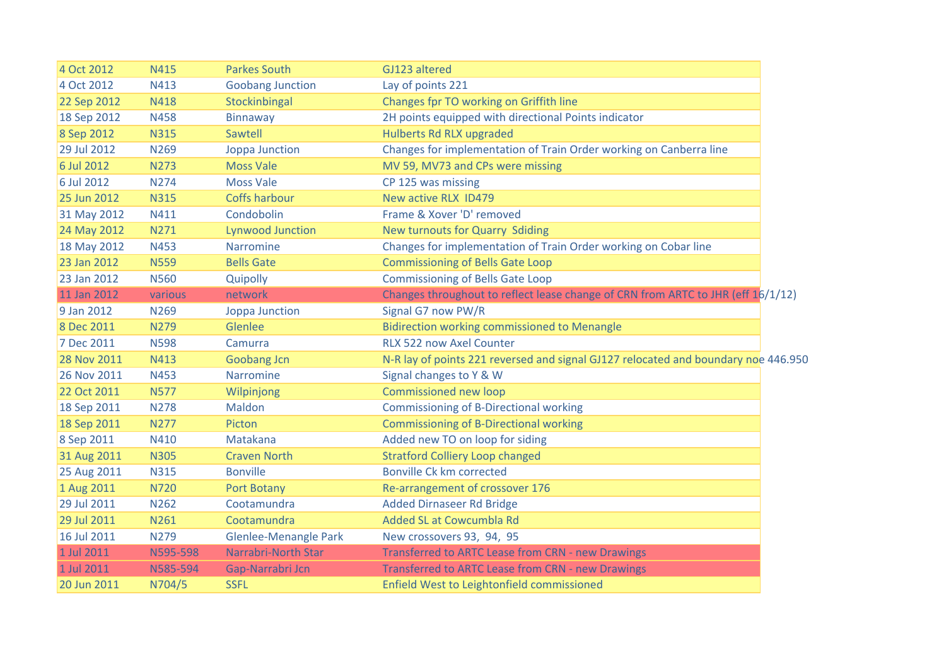| 4 Oct 2012  | N415        | <b>Parkes South</b>          | GJ123 altered                                                                      |  |
|-------------|-------------|------------------------------|------------------------------------------------------------------------------------|--|
| 4 Oct 2012  | N413        | <b>Goobang Junction</b>      | Lay of points 221                                                                  |  |
| 22 Sep 2012 | <b>N418</b> | Stockinbingal                | Changes fpr TO working on Griffith line                                            |  |
| 18 Sep 2012 | <b>N458</b> | Binnaway                     | 2H points equipped with directional Points indicator                               |  |
| 8 Sep 2012  | <b>N315</b> | Sawtell                      | Hulberts Rd RLX upgraded                                                           |  |
| 29 Jul 2012 | N269        | Joppa Junction               | Changes for implementation of Train Order working on Canberra line                 |  |
| 6 Jul 2012  | <b>N273</b> | <b>Moss Vale</b>             | MV 59, MV73 and CPs were missing                                                   |  |
| 6 Jul 2012  | <b>N274</b> | <b>Moss Vale</b>             | CP 125 was missing                                                                 |  |
| 25 Jun 2012 | <b>N315</b> | Coffs harbour                | New active RLX ID479                                                               |  |
| 31 May 2012 | N411        | Condobolin                   | Frame & Xover 'D' removed                                                          |  |
| 24 May 2012 | N271        | <b>Lynwood Junction</b>      | <b>New turnouts for Quarry Sdiding</b>                                             |  |
| 18 May 2012 | <b>N453</b> | Narromine                    | Changes for implementation of Train Order working on Cobar line                    |  |
| 23 Jan 2012 | <b>N559</b> | <b>Bells Gate</b>            | <b>Commissioning of Bells Gate Loop</b>                                            |  |
| 23 Jan 2012 | <b>N560</b> | Quipolly                     | <b>Commissioning of Bells Gate Loop</b>                                            |  |
| 11 Jan 2012 | various     | network                      | Changes throughout to reflect lease change of CRN from ARTC to JHR (eff 16/1/12)   |  |
| 9 Jan 2012  | N269        | Joppa Junction               | Signal G7 now PW/R                                                                 |  |
| 8 Dec 2011  | <b>N279</b> | Glenlee                      | <b>Bidirection working commissioned to Menangle</b>                                |  |
| 7 Dec 2011  | <b>N598</b> | Camurra                      | RLX 522 now Axel Counter                                                           |  |
| 28 Nov 2011 | N413        | <b>Goobang Jcn</b>           | N-R lay of points 221 reversed and signal GJ127 relocated and boundary noe 446.950 |  |
| 26 Nov 2011 | N453        | Narromine                    | Signal changes to Y & W                                                            |  |
| 22 Oct 2011 | <b>N577</b> | Wilpinjong                   | Commissioned new loop                                                              |  |
| 18 Sep 2011 | <b>N278</b> | Maldon                       | <b>Commissioning of B-Directional working</b>                                      |  |
| 18 Sep 2011 | <b>N277</b> | Picton                       | <b>Commissioning of B-Directional working</b>                                      |  |
| 8 Sep 2011  | N410        | Matakana                     | Added new TO on loop for siding                                                    |  |
| 31 Aug 2011 | <b>N305</b> | <b>Craven North</b>          | <b>Stratford Colliery Loop changed</b>                                             |  |
| 25 Aug 2011 | <b>N315</b> | <b>Bonville</b>              | Bonville Ck km corrected                                                           |  |
| 1 Aug 2011  | <b>N720</b> | <b>Port Botany</b>           | Re-arrangement of crossover 176                                                    |  |
| 29 Jul 2011 | N262        | Cootamundra                  | <b>Added Dirnaseer Rd Bridge</b>                                                   |  |
| 29 Jul 2011 | N261        | Cootamundra                  | Added SL at Cowcumbla Rd                                                           |  |
| 16 Jul 2011 | N279        | <b>Glenlee-Menangle Park</b> | New crossovers 93, 94, 95                                                          |  |
| 1 Jul 2011  | N595-598    | <b>Narrabri-North Star</b>   | Transferred to ARTC Lease from CRN - new Drawings                                  |  |
| 1 Jul 2011  | N585-594    | Gap-Narrabri Jcn             | Transferred to ARTC Lease from CRN - new Drawings                                  |  |
| 20 Jun 2011 | N704/5      | <b>SSFL</b>                  | Enfield West to Leightonfield commissioned                                         |  |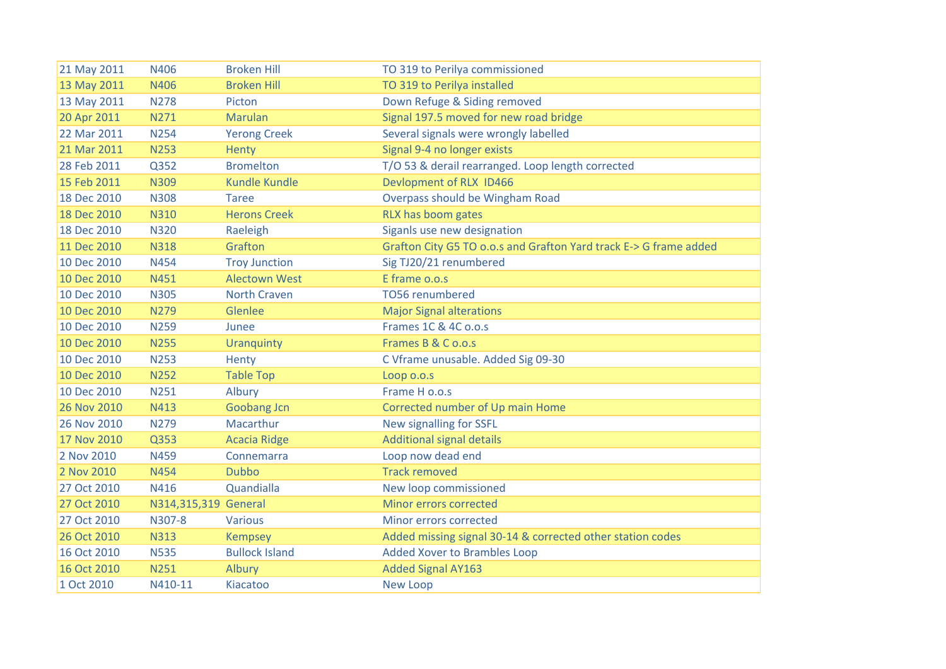| 21 May 2011 | N406                 | <b>Broken Hill</b>    | TO 319 to Perilya commissioned                                    |
|-------------|----------------------|-----------------------|-------------------------------------------------------------------|
| 13 May 2011 | <b>N406</b>          | <b>Broken Hill</b>    | TO 319 to Perilya installed                                       |
| 13 May 2011 | <b>N278</b>          | Picton                | Down Refuge & Siding removed                                      |
| 20 Apr 2011 | N271                 | <b>Marulan</b>        | Signal 197.5 moved for new road bridge                            |
| 22 Mar 2011 | <b>N254</b>          | <b>Yerong Creek</b>   | Several signals were wrongly labelled                             |
| 21 Mar 2011 | <b>N253</b>          | <b>Henty</b>          | Signal 9-4 no longer exists                                       |
| 28 Feb 2011 | Q352                 | <b>Bromelton</b>      | T/O 53 & derail rearranged. Loop length corrected                 |
| 15 Feb 2011 | <b>N309</b>          | <b>Kundle Kundle</b>  | Devlopment of RLX ID466                                           |
| 18 Dec 2010 | <b>N308</b>          | Taree                 | Overpass should be Wingham Road                                   |
| 18 Dec 2010 | <b>N310</b>          | <b>Herons Creek</b>   | RLX has boom gates                                                |
| 18 Dec 2010 | <b>N320</b>          | Raeleigh              | Siganls use new designation                                       |
| 11 Dec 2010 | <b>N318</b>          | Grafton               | Grafton City G5 TO o.o.s and Grafton Yard track E-> G frame added |
| 10 Dec 2010 | <b>N454</b>          | <b>Troy Junction</b>  | Sig TJ20/21 renumbered                                            |
| 10 Dec 2010 | N451                 | <b>Alectown West</b>  | E frame o.o.s                                                     |
| 10 Dec 2010 | <b>N305</b>          | <b>North Craven</b>   | <b>TO56 renumbered</b>                                            |
| 10 Dec 2010 | <b>N279</b>          | Glenlee               | <b>Major Signal alterations</b>                                   |
| 10 Dec 2010 | <b>N259</b>          | Junee                 | Frames 1C & 4C o.o.s                                              |
| 10 Dec 2010 | <b>N255</b>          | <b>Uranquinty</b>     | Frames B & C o.o.s                                                |
| 10 Dec 2010 | <b>N253</b>          | Henty                 | C Vframe unusable. Added Sig 09-30                                |
| 10 Dec 2010 | <b>N252</b>          | <b>Table Top</b>      | Loop o.o.s                                                        |
| 10 Dec 2010 | N251                 | Albury                | Frame H o.o.s                                                     |
| 26 Nov 2010 | N413                 | <b>Goobang Jcn</b>    | Corrected number of Up main Home                                  |
| 26 Nov 2010 | <b>N279</b>          | Macarthur             | New signalling for SSFL                                           |
| 17 Nov 2010 | Q353                 | <b>Acacia Ridge</b>   | <b>Additional signal details</b>                                  |
| 2 Nov 2010  | N459                 | Connemarra            | Loop now dead end                                                 |
| 2 Nov 2010  | <b>N454</b>          | <b>Dubbo</b>          | <b>Track removed</b>                                              |
| 27 Oct 2010 | N416                 | Quandialla            | New loop commissioned                                             |
| 27 Oct 2010 | N314,315,319 General |                       | Minor errors corrected                                            |
| 27 Oct 2010 | N307-8               | <b>Various</b>        | Minor errors corrected                                            |
| 26 Oct 2010 | <b>N313</b>          | <b>Kempsey</b>        | Added missing signal 30-14 & corrected other station codes        |
| 16 Oct 2010 | <b>N535</b>          | <b>Bullock Island</b> | Added Xover to Brambles Loop                                      |
| 16 Oct 2010 | <b>N251</b>          | Albury                | <b>Added Signal AY163</b>                                         |
| 1 Oct 2010  | N410-11              | Kiacatoo              | New Loop                                                          |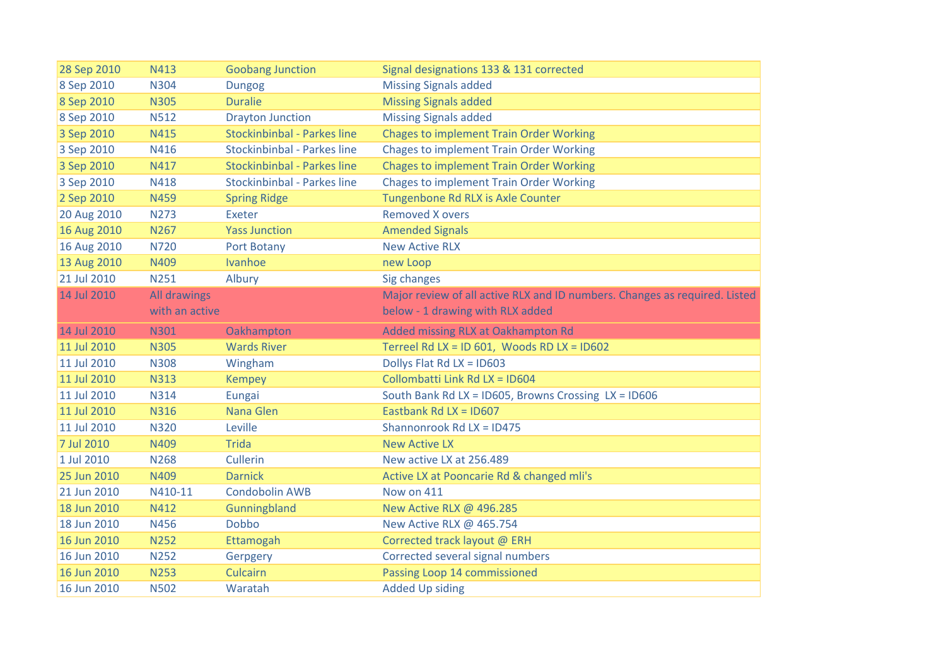| 28 Sep 2010 | N413           | <b>Goobang Junction</b>            | Signal designations 133 & 131 corrected                                    |
|-------------|----------------|------------------------------------|----------------------------------------------------------------------------|
| 8 Sep 2010  | N304           | <b>Dungog</b>                      | <b>Missing Signals added</b>                                               |
| 8 Sep 2010  | <b>N305</b>    | <b>Duralie</b>                     | <b>Missing Signals added</b>                                               |
| 8 Sep 2010  | <b>N512</b>    | <b>Drayton Junction</b>            | <b>Missing Signals added</b>                                               |
| 3 Sep 2010  | <b>N415</b>    | <b>Stockinbinbal - Parkes line</b> | <b>Chages to implement Train Order Working</b>                             |
| 3 Sep 2010  | N416           | <b>Stockinbinbal - Parkes line</b> | <b>Chages to implement Train Order Working</b>                             |
| 3 Sep 2010  | N417           | <b>Stockinbinbal - Parkes line</b> | <b>Chages to implement Train Order Working</b>                             |
| 3 Sep 2010  | N418           | <b>Stockinbinbal - Parkes line</b> | <b>Chages to implement Train Order Working</b>                             |
| 2 Sep 2010  | <b>N459</b>    | <b>Spring Ridge</b>                | Tungenbone Rd RLX is Axle Counter                                          |
| 20 Aug 2010 | N273           | Exeter                             | <b>Removed X overs</b>                                                     |
| 16 Aug 2010 | N267           | <b>Yass Junction</b>               | <b>Amended Signals</b>                                                     |
| 16 Aug 2010 | <b>N720</b>    | Port Botany                        | <b>New Active RLX</b>                                                      |
| 13 Aug 2010 | N409           | Ivanhoe                            | new Loop                                                                   |
| 21 Jul 2010 | N251           | Albury                             | Sig changes                                                                |
| 14 Jul 2010 | All drawings   |                                    | Major review of all active RLX and ID numbers. Changes as required. Listed |
|             | with an active |                                    | below - 1 drawing with RLX added                                           |
| 14 Jul 2010 | <b>N301</b>    | Oakhampton                         | Added missing RLX at Oakhampton Rd                                         |
| 11 Jul 2010 | <b>N305</b>    | <b>Wards River</b>                 | Terreel Rd LX = ID 601, Woods RD LX = ID602                                |
| 11 Jul 2010 | <b>N308</b>    | Wingham                            | Dollys Flat Rd LX = ID603                                                  |
| 11 Jul 2010 | <b>N313</b>    | <b>Kempey</b>                      | Collombatti Link Rd LX = ID604                                             |
| 11 Jul 2010 | <b>N314</b>    | Eungai                             | South Bank Rd LX = ID605, Browns Crossing LX = ID606                       |
| 11 Jul 2010 | <b>N316</b>    | Nana Glen                          | Eastbank Rd LX = $1D607$                                                   |
| 11 Jul 2010 | <b>N320</b>    | Leville                            | Shannonrook Rd LX = ID475                                                  |
| 7 Jul 2010  | N409           | <b>Trida</b>                       | <b>New Active LX</b>                                                       |
| 1 Jul 2010  | <b>N268</b>    | Cullerin                           | New active LX at 256.489                                                   |
| 25 Jun 2010 | N409           | <b>Darnick</b>                     | Active LX at Pooncarie Rd & changed mli's                                  |
| 21 Jun 2010 | N410-11        | <b>Condobolin AWB</b>              | Now on 411                                                                 |
| 18 Jun 2010 | N412           | Gunningbland                       | New Active RLX @ 496.285                                                   |
| 18 Jun 2010 | N456           | <b>Dobbo</b>                       | New Active RLX @ 465.754                                                   |
| 16 Jun 2010 |                |                                    |                                                                            |
|             | <b>N252</b>    | Ettamogah                          | Corrected track layout @ ERH                                               |
| 16 Jun 2010 | <b>N252</b>    | Gerpgery                           | Corrected several signal numbers                                           |
| 16 Jun 2010 | <b>N253</b>    | <b>Culcairn</b>                    | Passing Loop 14 commissioned                                               |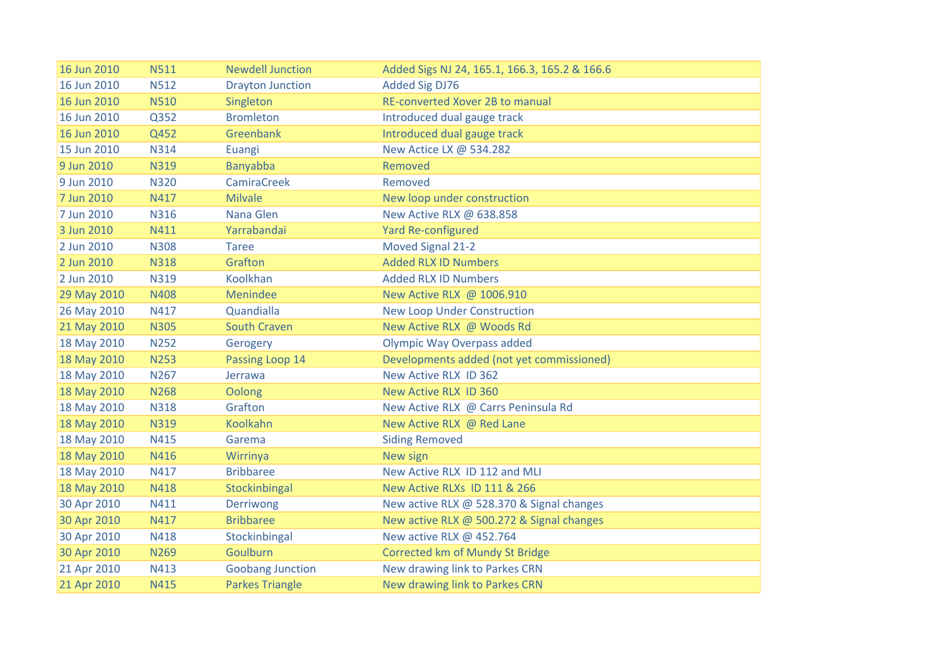| 16 Jun 2010 | <b>N511</b> | <b>Newdell Junction</b> | Added Sigs NJ 24, 165.1, 166.3, 165.2 & 166.6 |
|-------------|-------------|-------------------------|-----------------------------------------------|
| 16 Jun 2010 | <b>N512</b> | <b>Drayton Junction</b> | <b>Added Sig DJ76</b>                         |
| 16 Jun 2010 | <b>N510</b> | Singleton               | <b>RE-converted Xover 2B to manual</b>        |
| 16 Jun 2010 | Q352        | <b>Bromleton</b>        | Introduced dual gauge track                   |
| 16 Jun 2010 | Q452        | Greenbank               | Introduced dual gauge track                   |
| 15 Jun 2010 | N314        | Euangi                  | New Actice LX @ 534.282                       |
| 9 Jun 2010  | <b>N319</b> | Banyabba                | Removed                                       |
| 9 Jun 2010  | <b>N320</b> | <b>CamiraCreek</b>      | Removed                                       |
| 7 Jun 2010  | N417        | <b>Milvale</b>          | New loop under construction                   |
| 7 Jun 2010  | <b>N316</b> | Nana Glen               | New Active RLX @ 638.858                      |
| 3 Jun 2010  | N411        | Yarrabandai             | <b>Yard Re-configured</b>                     |
| 2 Jun 2010  | <b>N308</b> | <b>Taree</b>            | Moved Signal 21-2                             |
| 2 Jun 2010  | <b>N318</b> | Grafton                 | <b>Added RLX ID Numbers</b>                   |
| 2 Jun 2010  | N319        | Koolkhan                | <b>Added RLX ID Numbers</b>                   |
| 29 May 2010 | N408        | Menindee                | New Active RLX @ 1006.910                     |
| 26 May 2010 | N417        | Quandialla              | <b>New Loop Under Construction</b>            |
| 21 May 2010 | <b>N305</b> | <b>South Craven</b>     | New Active RLX @ Woods Rd                     |
| 18 May 2010 | <b>N252</b> | Gerogery                | <b>Olympic Way Overpass added</b>             |
| 18 May 2010 | <b>N253</b> | Passing Loop 14         | Developments added (not yet commissioned)     |
| 18 May 2010 | N267        | Jerrawa                 | New Active RLX ID 362                         |
| 18 May 2010 | <b>N268</b> | Oolong                  | New Active RLX ID 360                         |
| 18 May 2010 | <b>N318</b> | Grafton                 | New Active RLX @ Carrs Peninsula Rd           |
| 18 May 2010 | <b>N319</b> | Koolkahn                | New Active RLX @ Red Lane                     |
| 18 May 2010 | N415        | Garema                  | <b>Siding Removed</b>                         |
| 18 May 2010 | N416        | Wirrinya                | New sign                                      |
| 18 May 2010 | N417        | <b>Bribbaree</b>        | New Active RLX ID 112 and MLI                 |
| 18 May 2010 | <b>N418</b> | Stockinbingal           | New Active RLXs ID 111 & 266                  |
| 30 Apr 2010 | N411        | Derriwong               | New active RLX @ 528.370 & Signal changes     |
| 30 Apr 2010 | N417        | <b>Bribbaree</b>        | New active RLX @ 500.272 & Signal changes     |
| 30 Apr 2010 | N418        | Stockinbingal           | New active RLX @ 452.764                      |
| 30 Apr 2010 | N269        | Goulburn                | Corrected km of Mundy St Bridge               |
| 21 Apr 2010 | N413        | <b>Goobang Junction</b> | New drawing link to Parkes CRN                |
| 21 Apr 2010 | N415        | <b>Parkes Triangle</b>  | New drawing link to Parkes CRN                |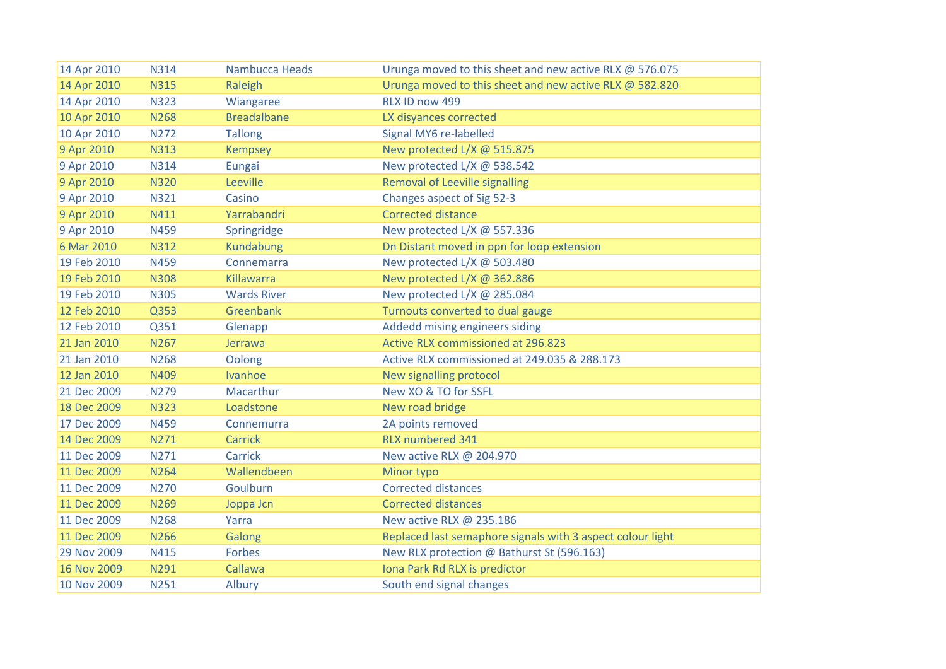| 14 Apr 2010 | N314        | Nambucca Heads     | Urunga moved to this sheet and new active RLX @ 576.075    |
|-------------|-------------|--------------------|------------------------------------------------------------|
| 14 Apr 2010 | <b>N315</b> | Raleigh            | Urunga moved to this sheet and new active RLX @ 582.820    |
| 14 Apr 2010 | <b>N323</b> | Wiangaree          | RLX ID now 499                                             |
| 10 Apr 2010 | <b>N268</b> | <b>Breadalbane</b> | LX disyances corrected                                     |
| 10 Apr 2010 | <b>N272</b> | <b>Tallong</b>     | Signal MY6 re-labelled                                     |
| 9 Apr 2010  | <b>N313</b> | <b>Kempsey</b>     | New protected L/X @ 515.875                                |
| 9 Apr 2010  | <b>N314</b> | Eungai             | New protected L/X @ 538.542                                |
| 9 Apr 2010  | <b>N320</b> | Leeville           | Removal of Leeville signalling                             |
| 9 Apr 2010  | N321        | Casino             | Changes aspect of Sig 52-3                                 |
| 9 Apr 2010  | N411        | Yarrabandri        | <b>Corrected distance</b>                                  |
| 9 Apr 2010  | <b>N459</b> | Springridge        | New protected L/X @ 557.336                                |
| 6 Mar 2010  | <b>N312</b> | <b>Kundabung</b>   | Dn Distant moved in ppn for loop extension                 |
| 19 Feb 2010 | N459        | Connemarra         | New protected L/X @ 503.480                                |
| 19 Feb 2010 | <b>N308</b> | Killawarra         | New protected L/X @ 362.886                                |
| 19 Feb 2010 | <b>N305</b> | <b>Wards River</b> | New protected L/X @ 285.084                                |
| 12 Feb 2010 | Q353        | Greenbank          | Turnouts converted to dual gauge                           |
| 12 Feb 2010 | Q351        | Glenapp            | Addedd mising engineers siding                             |
| 21 Jan 2010 | N267        | Jerrawa            | Active RLX commissioned at 296.823                         |
| 21 Jan 2010 | <b>N268</b> | Oolong             | Active RLX commissioned at 249.035 & 288.173               |
| 12 Jan 2010 | N409        | Ivanhoe            | New signalling protocol                                    |
| 21 Dec 2009 | N279        | <b>Macarthur</b>   | New XO & TO for SSFL                                       |
| 18 Dec 2009 | <b>N323</b> | Loadstone          | New road bridge                                            |
| 17 Dec 2009 | <b>N459</b> | Connemurra         | 2A points removed                                          |
| 14 Dec 2009 | N271        | <b>Carrick</b>     | <b>RLX numbered 341</b>                                    |
| 11 Dec 2009 | N271        | Carrick            | New active RLX @ 204.970                                   |
| 11 Dec 2009 | <b>N264</b> | Wallendbeen        | Minor typo                                                 |
| 11 Dec 2009 | <b>N270</b> | Goulburn           | <b>Corrected distances</b>                                 |
| 11 Dec 2009 | <b>N269</b> | Joppa Jcn          | <b>Corrected distances</b>                                 |
| 11 Dec 2009 | <b>N268</b> | Yarra              | New active RLX @ 235.186                                   |
| 11 Dec 2009 | <b>N266</b> | Galong             | Replaced last semaphore signals with 3 aspect colour light |
| 29 Nov 2009 | N415        | <b>Forbes</b>      | New RLX protection @ Bathurst St (596.163)                 |
| 16 Nov 2009 | N291        | Callawa            | Iona Park Rd RLX is predictor                              |
| 10 Nov 2009 | <b>N251</b> | Albury             | South end signal changes                                   |